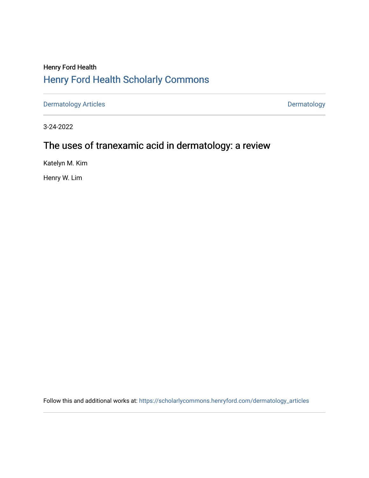## Henry Ford Health [Henry Ford Health Scholarly Commons](https://scholarlycommons.henryford.com/)

[Dermatology Articles](https://scholarlycommons.henryford.com/dermatology_articles) **Dermatology** 

3-24-2022

# The uses of tranexamic acid in dermatology: a review

Katelyn M. Kim

Henry W. Lim

Follow this and additional works at: [https://scholarlycommons.henryford.com/dermatology\\_articles](https://scholarlycommons.henryford.com/dermatology_articles?utm_source=scholarlycommons.henryford.com%2Fdermatology_articles%2F661&utm_medium=PDF&utm_campaign=PDFCoverPages)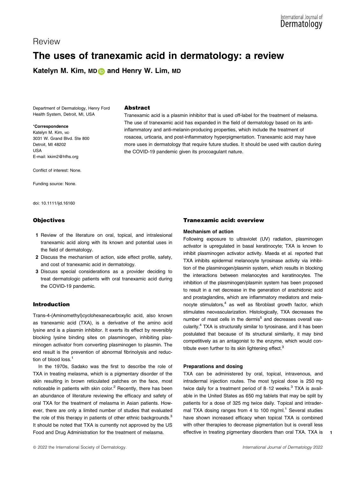## Review

## The uses of tranexamic acid in dermatology: a review

Katelyn M. Kim, M[D](https://orcid.org/0000-0003-4819-3860) and Henry W. Lim, MD

Department of Dermatology, Henry Ford Health System, Detroit, MI, USA

### \*Correspondence

Katelyn M. Kim, м<sub>D</sub> 3031 W. Grand Blvd. Ste 800 Detroit, MI 48202 USA E-mail: [kkim2@hfhs.org](mailto:)

Conflict of interest: None.

Funding source: None.

doi: 10.1111/ijd.16160

## **Objectives**

- 1 Review of the literature on oral, topical, and intralesional tranexamic acid along with its known and potential uses in the field of dermatology.
- 2 Discuss the mechanism of action, side effect profile, safety, and cost of tranexamic acid in dermatology.
- 3 Discuss special considerations as a provider deciding to treat dermatologic patients with oral tranexamic acid during the COVID-19 pandemic.

## Introduction

Trans-4-(Aminomethyl)cyclohexanecarboxylic acid, also known as tranexamic acid (TXA), is a derivative of the amino acid lysine and is a plasmin inhibitor. It exerts its effect by reversibly blocking lysine binding sites on plasminogen, inhibiting plasminogen activator from converting plasminogen to plasmin. The end result is the prevention of abnormal fibrinolysis and reduction of blood loss.<sup>1</sup>

In the 1970s, Sadako was the first to describe the role of TXA in treating melasma, which is a pigmentary disorder of the skin resulting in brown reticulated patches on the face, most noticeable in patients with skin color.<sup>2</sup> Recently, there has been an abundance of literature reviewing the efficacy and safety of oral TXA for the treatment of melasma in Asian patients. However, there are only a limited number of studies that evaluated the role of this therapy in patients of other ethnic backgrounds. $3$ It should be noted that TXA is currently not approved by the US Food and Drug Administration for the treatment of melasma.

## Abstract

Tranexamic acid is a plasmin inhibitor that is used off-label for the treatment of melasma. The use of tranexamic acid has expanded in the field of dermatology based on its antiinflammatory and anti-melanin-producing properties, which include the treatment of rosacea, urticaria, and post-inflammatory hyperpigmentation. Tranexamic acid may have more uses in dermatology that require future studies. It should be used with caution during the COVID-19 pandemic given its procoagulant nature.

## Tranexamic acid: overview

#### Mechanism of action

Following exposure to ultraviolet (UV) radiation, plasminogen activator is upregulated in basal keratinocyte; TXA is known to inhibit plasminogen activator activity. Maeda et al. reported that TXA inhibits epidermal melanocyte tyrosinase activity via inhibition of the plasminogen/plasmin system, which results in blocking the interactions between melanocytes and keratinocytes. The inhibition of the plasminogen/plasmin system has been proposed to result in a net decrease in the generation of arachidonic acid and prostaglandins, which are inflammatory mediators and melanocyte stimulators,<sup>4</sup> as well as fibroblast growth factor, which stimulates neovascularization. Histologically, TXA decreases the number of mast cells in the dermis<sup>5</sup> and decreases overall vascularity.4 TXA is structurally similar to tyrosinase, and it has been postulated that because of its structural similarity, it may bind competitively as an antagonist to the enzyme, which would contribute even further to its skin lightening effect.<sup>3</sup>

#### Preparations and dosing

TXA can be administered by oral, topical, intravenous, and intradermal injection routes. The most typical dose is 250 mg twice daily for a treatment period of  $8-12$  weeks.<sup>3</sup> TXA is available in the United States as 650 mg tablets that may be split by patients for a dose of 325 mg twice daily. Topical and intradermal TXA dosing ranges from 4 to 100 mg/ml. $1$  Several studies have shown increased efficacy when topical TXA is combined with other therapies to decrease pigmentation but is overall less effective in treating pigmentary disorders than oral TXA. TXA is

1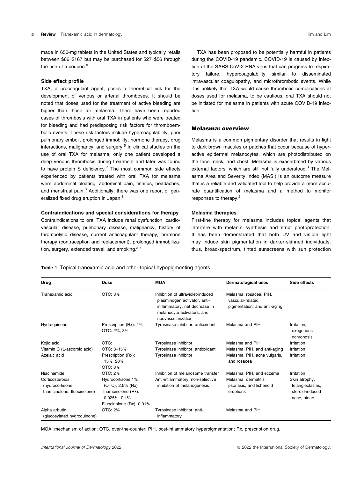made in 650-mg tablets in the United States and typically retails between \$66–\$167 but may be purchased for \$27–\$56 through the use of a coupon.<sup>6</sup>

#### Side effect profile

TXA, a procoagulant agent, poses a theoretical risk for the development of venous or arterial thromboses. It should be noted that doses used for the treatment of active bleeding are higher than those for melasma. There have been reported cases of thrombosis with oral TXA in patients who were treated for bleeding and had predisposing risk factors for thromboembolic events. These risk factors include hypercoagulability, prior pulmonary emboli, prolonged immobility, hormone therapy, drug interactions, malignancy, and surgery.<sup>5</sup> In clinical studies on the use of oral TXA for melasma, only one patient developed a deep venous thrombosis during treatment and later was found to have protein S deficiency. $7$  The most common side effects experienced by patients treated with oral TXA for melasma were abdominal bloating, abdominal pain, tinnitus, headaches, and menstrual pain.<sup>3</sup> Additionally, there was one report of generalized fixed drug eruption in Japan.8

#### Contraindications and special considerations for therapy

Contraindications to oral TXA include renal dysfunction, cardiovascular disease, pulmonary disease, malignancy, history of thrombolytic disease, current anticoagulant therapy, hormone therapy (contraception and replacement), prolonged immobilization, surgery, extended travel, and smoking. $3,7$ 

TXA has been proposed to be potentially harmful in patients during the COVID-19 pandemic. COVID-19 is caused by infection of the SARS-CoV-2 RNA virus that can progress to respiratory failure, hypercoagulability similar to disseminated intravascular coagulopathy, and microthrombotic events. While it is unlikely that TXA would cause thrombotic complications at doses used for melasma, to be cautious, oral TXA should not be initiated for melasma in patients with acute COVID-19 infection.

## Melasma: overview

Melasma is a common pigmentary disorder that results in light to dark brown macules or patches that occur because of hyperactive epidermal melanocytes, which are photodistributed on the face, neck, and chest. Melasma is exacerbated by various external factors, which are still not fully understood.<sup>3</sup> The Melasma Area and Severity Index (MASI) is an outcome measure that is a reliable and validated tool to help provide a more accurate quantification of melasma and a method to monitor responses to therapy.2

#### Melasma therapies

First-line therapy for melasma includes topical agents that interfere with melanin synthesis and strict photoprotection. It has been demonstrated that both UV and visible light may induce skin pigmentation in darker-skinned individuals; thus, broad-spectrum, tinted sunscreens with sun protection

Table 1 Topical tranexamic acid and other topical hypopigmenting agents

Drug Dose MOA Dermatological uses Side effects Tranexamic acid OTC: 3% Inhibition of ultraviolet-induced plasminogen activator, antiinflammatory, net decrease in melanocyte activators, and neovascularization Melasma, rosacea, PIH, vascular-related pigmentation, and anti-aging Hydroquinone Prescription (Rx): 4% OTC: 2%, 3% Tyrosinase inhibitor, antioxidant Melasma and PIH Irritation, exogenous ochronosis Kojic acid **CTC:** CHE Tyrosinase inhibitor CHE Melasma and PIH Irritation Vitamin C (L-ascorbic acid) OTC: 3–15% Tyrosinase inhibitor, antioxidant Melasma, PIH, and anti-aging Irritation Azelaic acid Prescription (Rx): 15%, 20% OTC: 8% Tyrosinase inhibitor **Melasma, PIH, acne vulgaris,** and rosacea Irritation Niacinamide **OTC: 2%** Inhibition of melanosome transfer Melasma, PIH, and eczema Irritation Corticosteroids (hydrocortisone, triamcinolone, fluocinolone) Hydrocortisone:1% (OTC), 2.5% (Rx) Triamcinolone (Rx): 0.025%, 0.1% Fluocinolone (Rx): 0.01% Anti-inflammatory, non-selective inhibition of melanogenesis Melasma, dermatitis, psoriasis, and lichenoid eruptions Skin atrophy, telangiectasias, steroid-induced acne, striae Alpha arbutin (glucosylated hydroquinone) OTC: 2% Tyrosinase inhibitor, antiinflammatory Melasma and PIH

MOA, mechanism of action; OTC, over-the-counter; PIH, post-inflammatory hyperpigmentation; Rx, prescription drug.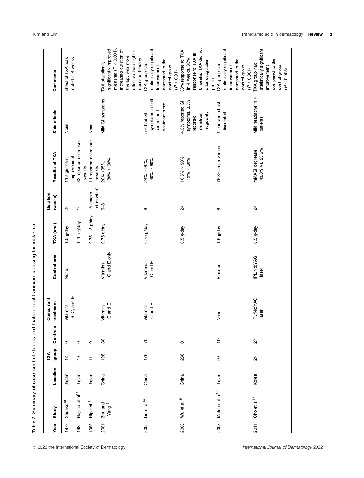| Year        | Study                         | Location | group<br>ĩХ    | Controls         | Concurrent<br>treatment   | Control arm         | TXA (oral)         | Duration<br>(weeks)                 | Results of TXA                    | Side effects                   | Comments                                          |
|-------------|-------------------------------|----------|----------------|------------------|---------------------------|---------------------|--------------------|-------------------------------------|-----------------------------------|--------------------------------|---------------------------------------------------|
| 1979        | Sadako <sup>10</sup>          | Japan    | 으              | $\circ$          | Vitamins<br>B, C, and $E$ | None                | $1.5$ g/day        | 20                                  | improvement<br>11 significant     | None                           | noted in 4 weeks<br>Effect of TXA was             |
| 1985        | Hajime et al <sup>11</sup>    | Japan    | $\overline{a}$ | $\circ$          |                           |                     | $1 - 1.5$ g/day    | $\tilde{a}$                         | 33 reported decreased<br>severity |                                |                                                   |
| 1988        | Higashi <sup>12</sup>         | Japan    | ∓              | $\circ$          |                           |                     | $0.75 - 1.5$ g/day | of months"<br>eldnoo y <sub>"</sub> | 11 reported decreased<br>severity | None                           |                                                   |
| <b>2001</b> | Zhu and<br>Yang <sup>13</sup> | China    | 128            | 8                | Vitamins<br>C and E       | Vitamins            | $0.75$ g/day       | $6-8$                               | 20% > 95%,                        | Mild GI symptoms               | TXA statistically                                 |
|             |                               |          |                |                  |                           | C and E only        |                    |                                     | $30\% > 60\%$                     |                                | melasma $(P < 0.001)$ ,<br>significantly improved |
|             |                               |          |                |                  |                           |                     |                    |                                     |                                   |                                | increased duration of                             |
|             |                               |          |                |                  |                           |                     |                    |                                     |                                   |                                | effective than higher<br>therapy was more         |
|             |                               |          |                |                  |                           |                     |                    |                                     |                                   |                                | doses of therapy                                  |
| 2005        | Liu et al <sup>14</sup>       | China    | 176            | 70               |                           | Vitamins            | $0.75$ g/day       | $\infty$                            | $24\% > 90\%$ ,                   | 5% had GI                      | TXA group had                                     |
|             |                               |          |                |                  | Vitamins<br>C and E       | C and E             |                    |                                     | $40\% > 60\%$                     | symptoms in both               | statistically significant                         |
|             |                               |          |                |                  |                           |                     |                    |                                     |                                   | control and                    | improvement                                       |
|             |                               |          |                |                  |                           |                     |                    |                                     |                                   | treatment arms                 | compared to the                                   |
|             |                               |          |                |                  |                           |                     |                    |                                     |                                   |                                | control group<br>(P < 0.01)                       |
| 2008        | Wu et al <sup>15</sup>        | China    | 256            | $\circ$          |                           |                     | $0.5$ g/day        | $\overline{2}$                      | $10.5\% > 90\%$                   | 4.3% reported GI               | 33% response to TXA                               |
|             |                               |          |                |                  |                           |                     |                    |                                     | 19% > 60%                         | symptoms, 3.5%                 | in 4 weeks, 33%                                   |
|             |                               |          |                |                  |                           |                     |                    |                                     |                                   | reported                       | response to TXA in                                |
|             |                               |          |                |                  |                           |                     |                    |                                     |                                   | menstrual                      | 8 weeks; TXA did not                              |
|             |                               |          |                |                  |                           |                     |                    |                                     |                                   | irregularity                   | alter coagulation                                 |
|             |                               |          |                |                  |                           |                     |                    |                                     |                                   |                                | profile                                           |
| 2008        | Mafune et al <sup>16</sup>    | Japan    | 99             | $\overline{100}$ | None                      | Placebo             | $1.5$ g/day        | $^\infty$                           | 76.8% improvement                 | 1 transient chest              | TXA group had                                     |
|             |                               |          |                |                  |                           |                     |                    |                                     |                                   | discomfort                     | statistically significant                         |
|             |                               |          |                |                  |                           |                     |                    |                                     |                                   |                                | improvement                                       |
|             |                               |          |                |                  |                           |                     |                    |                                     |                                   |                                | compared to the                                   |
|             |                               |          |                |                  |                           |                     |                    |                                     |                                   |                                | control group                                     |
|             |                               |          |                |                  |                           |                     |                    |                                     |                                   |                                | (P < 0.001)                                       |
| 2011        | Cho et al $17$                | Korea    | 24             | 27               | IPL/Nd:YAG<br>laser       | IPL/Nd:YAG<br>laser | $0.5$ g/day        | $\overline{24}$                     | 43.8% vs. 23.6%<br>mMASI decrease | Mild headache in 4<br>patients | statistically significant<br>TXA group had        |
|             |                               |          |                |                  |                           |                     |                    |                                     |                                   |                                | improvement                                       |
|             |                               |          |                |                  |                           |                     |                    |                                     |                                   |                                | compared to the                                   |
|             |                               |          |                |                  |                           |                     |                    |                                     |                                   |                                | control group                                     |
|             |                               |          |                |                  |                           |                     |                    |                                     |                                   |                                | (P < 0.005)                                       |

Table 2 Summary of case-control studies and trials of oral tranexamic dosing for melasma Table 2 Summary of case–control studies and trials of oral tranexamic dosing for melasma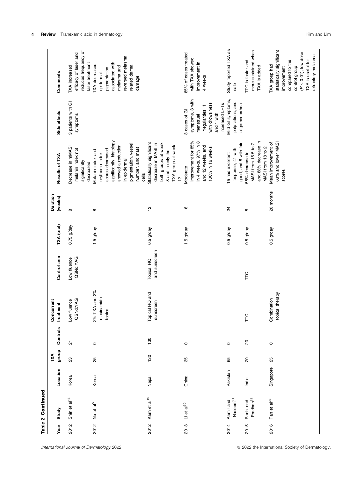|      | Table 2 Continued                  |           |               |                         |                                         |                             |              |                     |                                                                                                                                                                                |                                                                                                                         |                                                                                                                                                                     |
|------|------------------------------------|-----------|---------------|-------------------------|-----------------------------------------|-----------------------------|--------------|---------------------|--------------------------------------------------------------------------------------------------------------------------------------------------------------------------------|-------------------------------------------------------------------------------------------------------------------------|---------------------------------------------------------------------------------------------------------------------------------------------------------------------|
| Year | Study                              | Location  | dno.fo<br>TХА | Controls                | Concurrent<br>treatment                 | Control arm                 | TXA (oral)   | Duration<br>(weeks) | Results of TXA                                                                                                                                                                 | Side effects                                                                                                            | Comments                                                                                                                                                            |
| 2012 | Shin et al <sup>18</sup>           | Korea     | 23            | $\overline{\mathbf{c}}$ | QSNd:YAG<br>Low fluence                 | QSNd:YAG<br>Low fluence     | $0.75$ g/day | $\infty$            | Decrease in mMASI,<br>melanin index not<br>significantly<br>decreased                                                                                                          | 3 patients with GI<br>symptoms                                                                                          | reduced frequency of<br>efficacy of laser and<br>laser treatment<br>TXA increased                                                                                   |
| 2012 | Na et al <sup>5</sup>              | Korea     | 25            | $\circ$                 | 2% TXA and 2%<br>niacinamide<br>topical |                             | $1.5$ g/day  | $^\infty$           | significantly; histology<br>pigmentation, vessel<br>showed a reduction<br>number, and mast<br>scores decreased<br>Melanin index and<br>erythema index<br>in epidermal<br>cells |                                                                                                                         | reversed melasma<br>associated with<br>TXA decreased<br>related dermal<br>melasma and<br>pigmentation<br>epidermal<br>damage                                        |
| 2012 | Karn et al <sup>19</sup>           | Nepal     | 130           | 130                     | Topical HQ and<br>sunscreen             | and sunscreen<br>Topical HQ | $0.5$ g/day  | $\frac{1}{2}$       | Statistically significant<br>both groups at week<br>decrease in MASI in<br>TXA group at week<br>8 and in only the<br>ă                                                         |                                                                                                                         |                                                                                                                                                                     |
| 2013 | Li et a $^{20}$                    | China     | 85            | $\circ$                 |                                         |                             | $1.5$ g/day  | $\frac{6}{5}$       | improvement for 85%<br>in 4 weeks, 97% in 8<br>and 12 weeks, and<br>100% in 16 weeks<br>Moderate                                                                               | symptoms, 3 with<br>with drowsiness,<br>increased LFTs<br>irregularities, 1<br>3 cases of GI<br>and 1 with<br>menstrual | 85% of cases treated<br>with TXA showed<br>improvement in<br>4 weeks                                                                                                |
| 2014 | Naseem <sup>21</sup><br>Aamir and  | Pakistan  | 65            | $\circ$                 |                                         |                             | $0.5$ g/day  | $^{24}$             | good, and 8 with fair<br>response, 41 with<br>15 had excellent                                                                                                                 | Mild GI symptoms,<br>palpitations, and<br>oligomenorrhea                                                                | Study reported TXA as<br>safe                                                                                                                                       |
| 2015 | Pradhan <sup>22</sup><br>Padhi and | India     | $\rm _{2}$    | $\overline{c}$          | FC                                      | F                           | $0.5$ g/day  | $\infty$            | and 88% decrease in<br>MASI from 15.5 to 7<br>MASI from 18 to 2<br>55% decrease in                                                                                             |                                                                                                                         | more sustained when<br>TTC is faster and<br>TXA is added                                                                                                            |
| 2016 | Tan et al <sup>23</sup>            | Singapore | 25            | $\circ$                 | topical therapy<br>Combination          |                             | $0.5$ g/day  | 20 months           | 68% and lower MASI<br>Mean improvement of<br>scores                                                                                                                            |                                                                                                                         | statistically significant<br>$(P < 0.01)$ , low dose<br>refractory melasma<br>TXA is useful for<br>compared to the<br>TXA group had<br>control group<br>improvement |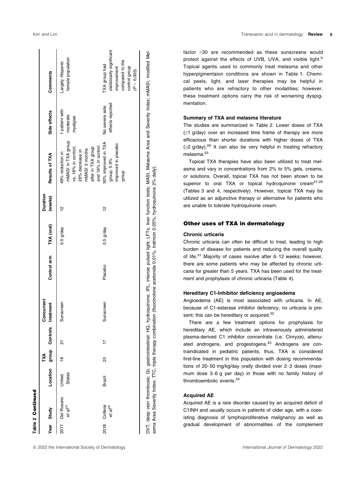|      | Year Study                                |                         | TXA            | Location group Controls | Concurrent<br>treatment | Control arm | TXA (oral)  | Duration<br>(weeks) | Results of TXA                                                                                                                                 | Side effects                         | Comments                                                                                                     |
|------|-------------------------------------------|-------------------------|----------------|-------------------------|-------------------------|-------------|-------------|---------------------|------------------------------------------------------------------------------------------------------------------------------------------------|--------------------------------------|--------------------------------------------------------------------------------------------------------------|
|      | 2017 Del Rosario<br>$et$ al <sup>24</sup> | <b>States</b><br>United | $\frac{8}{10}$ | ត                       | Sunscreen               |             | $0.5$ g/day | 얻                   | mMASI in TXA group<br>and 19% in control<br>vs. 18% in control;<br>after in TXA group<br>mMASI 3 months<br>26% decrease in<br>49% reduction in | patient with<br>moderate<br>myalgias | female population<br>argely Hispanic                                                                         |
| 2018 | Colferai<br>et al <sup>25</sup>           | Brazil                  | 8              |                         | Sunscreen               | Placebo     | $0.5$ g/day | 얻                   | 50% improved in TXA<br>improved in placebo<br>group, 5.9%<br>diorib                                                                            | effects reported<br>No severe side   | statistically significant<br>compared to the<br>TXA group had<br>control group<br>improvement<br>(P < 0.005) |

DVT, deep vein thrombosis; GI, gastrointestinal; HQ, hydroquinone; IPL, intense pulsed light; LFTs, liver function tests; MASI, Melasma Area and Severity Index; mMASI, modified Mel-DVT, deep vein thrombosis; GI, gastrointestinal; HQ, hydroquinone; IPL, intense pulsed light; LFTs, liver function tests; MASI, Melasma Area and Severity Index; mMASI, modified Melasma Area Severity Index; TTC, triple therapy combination (fluocinolone acetonide 0.01%, tretinoin 0.05%, hydroquinone 2% daily). triple therapy combination (fluocinolone acetonide 0.01%, tretinoin 0.05%, hydroquinone 2% daily) asma Area Severity Index; TTC,

factor >30 are recommended as these sunscreens would protect against the effects of UVB, UVA, and visible light.<sup>9</sup> Topical agents used to commonly treat melasma and other hyperpigmentaion conditions are shown in Table 1. Chemical peels, light, and laser therapies may be helpful in patients who are refractory to other modalities; however, these treatment options carry the risk of worsening dyspigmentation.

#### Summary of TXA and melasma literature

The studies are summarized in Table 2. Lower doses of TXA (≤1 g/day) over an increased time frame of therapy are more efficacious than shorter durations with higher doses of TXA  $(\geq 2 \text{ g/day})$ .<sup>26</sup> It can also be very helpful in treating refractory melasma.<sup>23</sup>

Topical TXA therapies have also been utilized to treat melasma and vary in concentrations from 2% to 5% gels, creams, or solutions. Overall, topical TXA has not been shown to be superior to oral TXA or topical hydroquinone cream<sup>27-29</sup> (Tables 3 and 4, respectively). However, topical TXA may be utilized as an adjunctive therapy or alternative for patients who are unable to tolerate hydroquinone cream.

## Other uses of TXA in dermatology

### Chronic urticaria

Chronic urticaria can often be difficult to treat, leading to high burden of disease for patients and reducing the overall quality of life. $31$  Majority of cases resolve after 6–12 weeks; however, there are some patients who may be affected by chronic urticaria for greater than 5 years. TXA has been used for the treatment and prophylaxis of chronic urticaria (Table 4).

## Hereditary C1-Inhibitor deficiency angioedema

Angioedema (AE) is most associated with urticaria. In AE, because of C1-esterase inhibitor deficiency, no urticaria is present; this can be hereditary or acquired.<sup>32</sup>

There are a few treatment options for prophylaxis for hereditary AE, which include an intravenously administered plasma-derived C1 inhibitor concentrate (i.e. Cinryze), attenuated androgens, and progestogens.<sup>33</sup> Androgens are contraindicated in pediatric patients; thus, TXA is considered first-line treatment in this population with dosing recommendations of 20–50 mg/kg/day orally divided over 2–3 doses (maximum dose 3–6 g per day) in those with no family history of thromboembolic events.34

## Acquired AE

Acquired AE is a rare disorder caused by an acquired deficit of C1INH and usually occurs in patients of older age, with a coexisting diagnosis of lymphoproliferative malignancy as well as gradual development of abnormalities of the complement

Table 2 Continued

**Table 2 Continued**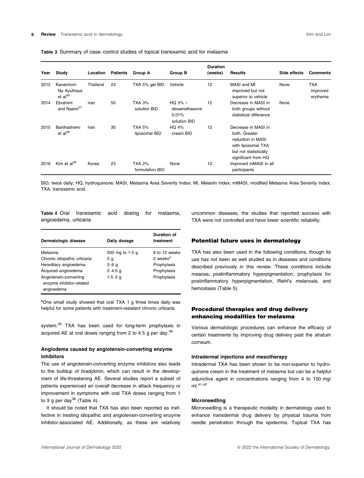|  |  | Table 3 Summary of case–control studies of topical tranexamic acid for melasma |  |  |  |  |  |
|--|--|--------------------------------------------------------------------------------|--|--|--|--|--|
|--|--|--------------------------------------------------------------------------------|--|--|--|--|--|

| Year | Study                                    | Location | <b>Patients</b> | Group A                          | Group B                                             | <b>Duration</b><br>(weeks) | Results                                                                                                                         | Side effects | <b>Comments</b>             |
|------|------------------------------------------|----------|-----------------|----------------------------------|-----------------------------------------------------|----------------------------|---------------------------------------------------------------------------------------------------------------------------------|--------------|-----------------------------|
| 2012 | Kanechorn<br>Na Ayuthaya<br>$et al^{30}$ | Thailand | 23              | TXA 5% gel BID                   | Vehicle                                             | 12                         | MASI and MI<br>improved but not<br>superior to vehicle                                                                          | None         | TXA<br>improved<br>erythema |
| 2014 | Ebrahimi<br>and Naeini <sup>27</sup>     | Iran     | 50              | <b>TXA 3%</b><br>solution BID    | $HO$ 3% +<br>dexamethasone<br>0.01%<br>solution BID | 12                         | Decrease in MASI in<br>both groups without<br>statistical difference                                                            | None         |                             |
| 2015 | Banihashemi<br>et al $^{28}$             | Iran     | 30              | <b>TXA 5%</b><br>liposomal BID   | HQ 4%<br>cream BID                                  | 12                         | Decrease in MASI in<br>both. Greater<br>reduction in MASI<br>with liposomal TXA<br>but not statistically<br>significant from HQ |              |                             |
| 2016 | Kim et $al^{29}$                         | Korea    | 23              | <b>TXA 2%</b><br>formulation BID | None                                                | 12                         | Improved mMASI in all<br>participants                                                                                           |              |                             |

BID, twice daily; HQ, hydroquinone; MASI, Melasma Area Severity Index; MI, Melanin Index; mMASI, modified Melasma Area Severity Index; TXA, tranexamic acid.

Table 4 Oral tranexamic acid dosing for melasma, angioedema, urticaria

| Dermatologic disease                                             | Daily dosage    | Duration of<br>treatment |
|------------------------------------------------------------------|-----------------|--------------------------|
| Melasma                                                          | 500 mg to 1.5 g | 8 to 12 weeks            |
| Chronic idiopathic urticaria                                     | 3 q             | 2 weeks <sup>a</sup>     |
| Hereditary angioedema                                            | $3-6q$          | Prophylaxis              |
| Acquired angioedema                                              | $2 - 4.5$ q     | Prophylaxis              |
| Angiotensin-converting<br>enzyme inhibitor-related<br>angioedema | $1.5 - 3$ a     | Prophylaxis              |

aOne small study showed that oral TXA 1 g three times daily was helpful for some patients with treatment-resistant chronic urticaria.

system.<sup>35</sup> TXA has been used for long-term prophylaxis in acquired AE at oral doses ranging from 2 to 4.5 g per day.  $36$ 

## Angiodema caused by angiotensin-converting enzyme inhibitors

The use of angiotensin-converting enzyme inhibitors also leads to the buildup of bradykinin, which can result in the development of life-threatening AE. Several studies report a subset of patients experienced an overall decrease in attack frequency or improvement in symptoms with oral TXA doses ranging from 1 to 3 g per day<sup>36</sup> (Table 4).

It should be noted that TXA has also been reported as ineffective in treating idiopathic and angiotensin-converting enzyme inhibitor-associated AE. Additionally, as these are relatively uncommon diseases, the studies that reported success with TXA were not controlled and have lower scientific reliability.

## Potential future uses in dermatology

TXA has also been used in the following conditions, though its use has not been as well studied as in diseases and conditions described previously in this review. These conditions include rosacea, postinflammatory hyperpigmentation, prophylaxis for postinflammatory hyperpigmentation, Riehl's melanosis, and hemostasis (Table 5).

## Procedural therapies and drug delivery enhancing modalities for melasma

Various dermatologic procedures can enhance the efficacy of certain treatments by improving drug delivery past the stratum corneum.

## Intradermal injections and mesotherapy

Intradermal TXA has been shown to be non-superior to hydroquinone cream in the treatment of melasma but can be a helpful adjunctive agent in concentrations ranging from 4 to 100 mg/ ml.41,42

## Microneedling

Microneedling is a therapeutic modality in dermatology used to enhance transdermal drug delivery by physical trauma from needle penetration through the epidermis. Topical TXA has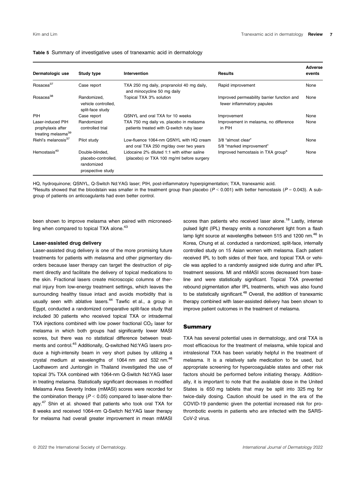| Dermatologic use                                                         | Study type                                                                | <b>Intervention</b>                                                                      | <b>Results</b>                                                           | Adverse<br>events |
|--------------------------------------------------------------------------|---------------------------------------------------------------------------|------------------------------------------------------------------------------------------|--------------------------------------------------------------------------|-------------------|
| Rosacea <sup>37</sup>                                                    | Case report                                                               | TXA 250 mg daily, propranolol 40 mg daily,<br>and minocycline 50 mg daily                | Rapid improvement                                                        | None              |
| Rosacea <sup>38</sup>                                                    | Randomized.<br>vehicle controlled,<br>split-face study                    | Topical TXA 3% solution                                                                  | Improved permeability barrier function and<br>fewer inflammatory papules | None              |
| PIH                                                                      | Case report                                                               | QSNYL and oral TXA for 10 weeks                                                          | Improvement                                                              | None              |
| Laser-induced PIH<br>prophylaxis after<br>treating melasma <sup>39</sup> | Randomized<br>controlled trial                                            | TXA 750 mg daily vs. placebo in melasma<br>patients treated with Q-switch ruby laser     | Improvement in melasma, no difference<br>in PIH                          | None              |
| Riehl's melanosis <sup>37</sup>                                          | Pilot study                                                               | Low-fluence 1064-nm QSNYL with HQ cream<br>and oral TXA 250 mg/day over two years        | 3/8 "almost clear"<br>5/8 "marked improvement"                           | None              |
| Hemostasis <sup>40</sup>                                                 | Double-blinded.<br>placebo-controlled,<br>randomized<br>prospective study | Lidocaine 2% diluted 1:1 with either saline<br>(placebo) or TXA 100 mg/ml before surgery | Improved hemostasis in TXA group <sup>a</sup>                            | None              |

## Table 5 Summary of investigative uses of tranexamic acid in dermatology

HQ, hydroquinone; QSNYL, Q-Switch Nd:YAG laser; PIH, post-inflammatory hyperpigmentation; TXA, tranexamic acid.

<sup>a</sup>Results showed that the bloodstain was smaller in the treatment group than placebo ( $P < 0.001$ ) with better hemostasis ( $P = 0.043$ ). A subgroup of patients on anticoagulants had even better control.

been shown to improve melasma when paired with microneedling when compared to topical TXA alone.<sup>43</sup>

#### Laser-assisted drug delivery

Laser-assisted drug delivery is one of the more promising future treatments for patients with melasma and other pigmentary disorders because laser therapy can target the destruction of pigment directly and facilitate the delivery of topical medications to the skin. Fractional lasers create microscopic columns of thermal injury from low-energy treatment settings, which leaves the surrounding healthy tissue intact and avoids morbidity that is usually seen with ablative lasers.<sup>44</sup> Tawfic et al., a group in Egypt, conducted a randomized comparative split-face study that included 30 patients who received topical TXA or intradermal TXA injections combined with low power fractional  $CO<sub>2</sub>$  laser for melasma in which both groups had significantly lower MASI scores, but there was no statistical difference between treatments and control.45 Additionally, Q-switched Nd:YAG lasers produce a high-intensity beam in very short pulses by utilizing a crystal medium at wavelengths of 1064 nm and 532 nm.<sup>46</sup> Laothaworn and Juntongjin in Thailand investigated the use of topical 3% TXA combined with 1064-nm Q-Switch Nd:YAG laser in treating melasma. Statistically significant decreases in modified Melasma Area Severity Index (mMASI) scores were recorded for the combination therapy ( $P < 0.05$ ) compared to laser-alone therapy.47 Shin et al. showed that patients who took oral TXA for 8 weeks and received 1064-nm Q-Switch Nd:YAG laser therapy for melasma had overall greater improvement in mean mMASI

scores than patients who received laser alone.<sup>18</sup> Lastly, intense pulsed light (IPL) therapy emits a noncoherent light from a flash lamp light source at wavelengths between 515 and 1200 nm.<sup>46</sup> In Korea, Chung et al. conducted a randomized, split-face, internally controlled study on 15 Asian women with melasma. Each patient received IPL to both sides of their face, and topical TXA or vehicle was applied to a randomly assigned side during and after IPL treatment sessions. MI and mMASI scores decreased from baseline and were statistically significant. Topical TXA prevented rebound pigmentation after IPL treatments, which was also found to be statistically significant.<sup>48</sup> Overall, the addition of tranexamic therapy combined with laser-assisted delivery has been shown to improve patient outcomes in the treatment of melasma.

#### Summary

TXA has several potential uses in dermatology, and oral TXA is most efficacious for the treatment of melasma, while topical and intralesional TXA has been variably helpful in the treatment of melasma. It is a relatively safe medication to be used, but appropriate screening for hypercoagulable states and other risk factors should be performed before initiating therapy. Additionally, it is important to note that the available dose in the United States is 650 mg tablets that may be split into 325 mg for twice-daily dosing. Caution should be used in the era of the COVID-19 pandemic given the potential increased risk for prothrombotic events in patients who are infected with the SARS-CoV-2 virus.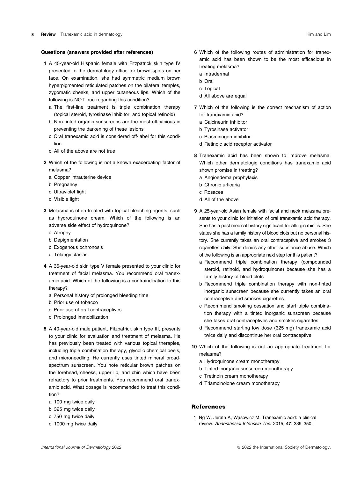#### Questions (answers provided after references)

- 1 A 45-year-old Hispanic female with Fitzpatrick skin type IV presented to the dermatology office for brown spots on her face. On examination, she had symmetric medium brown hyperpigmented reticulated patches on the bilateral temples, zygomatic cheeks, and upper cutaneous lips. Which of the following is NOT true regarding this condition?
	- a The first-line treatment is triple combination therapy (topical steroid, tyrosinase inhibitor, and topical retinoid)
	- b Non-tinted organic sunscreens are the most efficacious in preventing the darkening of these lesions
	- c Oral tranexamic acid is considered off-label for this condition
	- d All of the above are not true
- 2 Which of the following is not a known exacerbating factor of melasma?
	- a Copper intrauterine device
	- b Pregnancy
	- c Ultraviolet light
	- d Visible light
- 3 Melasma is often treated with topical bleaching agents, such as hydroquinone cream. Which of the following is an adverse side effect of hydroquinone?
	- a Atrophy
	- b Depigmentation
	- c Exogenous ochronosis
	- d Telangiectasias
- 4 A 36-year-old skin type V female presented to your clinic for treatment of facial melasma. You recommend oral tranexamic acid. Which of the following is a contraindication to this therapy?
	- a Personal history of prolonged bleeding time
	- b Prior use of tobacco
	- c Prior use of oral contraceptives
	- d Prolonged immobilization
- 5 A 40-year-old male patient, Fitzpatrick skin type III, presents to your clinic for evaluation and treatment of melasma. He has previously been treated with various topical therapies, including triple combination therapy, glycolic chemical peels, and microneedling. He currently uses tinted mineral broadspectrum sunscreen. You note reticular brown patches on the forehead, cheeks, upper lip, and chin which have been refractory to prior treatments. You recommend oral tranexamic acid. What dosage is recommended to treat this condition?
	- a 100 mg twice daily
	- b 325 mg twice daily
	- c 750 mg twice daily
	- d 1000 mg twice daily
- 6 Which of the following routes of administration for tranexamic acid has been shown to be the most efficacious in treating melasma?
	- a Intradermal
	- b Oral
	- c Topical
	- d All above are equal
- 7 Which of the following is the correct mechanism of action for tranexamic acid?
	- a Calcineurin inhibitor
	- b Tyrosinase activator
	- c Plasminogen inhibitor
	- d Retinoic acid receptor activator
- 8 Tranexamic acid has been shown to improve melasma. Which other dermatologic conditions has tranexamic acid shown promise in treating?
	- a Angioedema prophylaxis
	- b Chronic urticaria
	- c Rosacea
	- d All of the above
- 9 A 25-year-old Asian female with facial and neck melasma presents to your clinic for initiation of oral tranexamic acid therapy. She has a past medical history significant for allergic rhinitis. She states she has a family history of blood clots but no personal history. She currently takes an oral contraceptive and smokes 3 cigarettes daily. She denies any other substance abuse. Which of the following is an appropriate next step for this patient?
	- a Recommend triple combination therapy (compounded steroid, retinoid, and hydroquinone) because she has a family history of blood clots
	- b Recommend triple combination therapy with non-tinted inorganic sunscreen because she currently takes an oral contraceptive and smokes cigarettes
	- c Recommend smoking cessation and start triple combination therapy with a tinted inorganic sunscreen because she takes oral contraceptives and smokes cigarettes
	- d Recommend starting low dose (325 mg) tranexamic acid twice daily and discontinue her oral contraceptive
- 10 Which of the following is not an appropriate treatment for melasma?
	- a Hydroquinone cream monotherapy
	- b Tinted inorganic sunscreen monotherapy
	- c Tretinoin cream monotherapy
	- d Triamcinolone cream monotherapy

## **References**

1 Ng W, Jerath A, Wazsowicz M. Tranexamic acid: a clinical review. Anaesthesiol Intensive Ther 2015; 47: 339–350.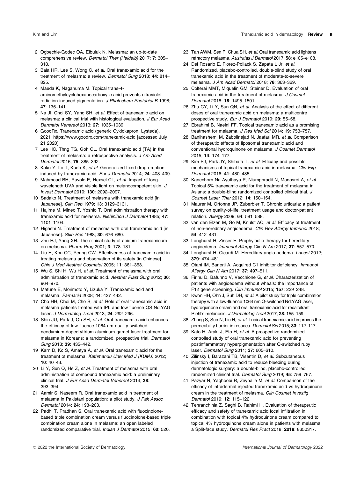- 2 Ogbechie-Godec OA, Elbuluk N. Melasma: an up-to-date comprehensive review. Dermatol Ther (Heidelb) 2017; 7: 305– 318.
- 3 Bala HR, Lee S, Wong C, et al. Oral tranexamic acid for the treatment of melasma: a review. Dermatol Surg 2018; 44: 814– 825.
- 4 Maeda K, Naganuma M. Topical trans-4 aminomethylcyclohexanecarboxylic acid prevents ultraviolet radiation-induced pigmentation. J Photochem Photobiol B 1998; 47: 136–141.
- 5 Na JI, Choi SY, Yang SH, et al. Effect of tranexamic acid on melasma: a clinical trial with histological evaluation. J Eur Acad Dermatol Venereol 2013; 27: 1035–1039.
- 6 GoodRx. Tranexamic acid (generic Cyklokapron, Lysteda). 2021.<https://www.goodrx.com/tranexamic-acid> [accessed July 21 2020].
- 7 Lee HC, Thng TG, Goh CL. Oral tranexamic acid (TA) in the treatment of melasma: a retrospective analysis. J Am Acad Dermatol 2016; 75: 385–392.
- 8 Kaku Y, Ito T, Kudo K, et al. Generalized fixed drug eruption induced by tranexamic acid. Eur J Dermatol 2014; 24: 408–409.
- 9 Mahmoud BH, Ruvolo E, Hexsel CL, et al. Impact of longwavelength UVA and visible light on melanocompetent skin. J Invest Dermatol 2010; 130: 2092–2097.
- 10 Sadako N. Treatment of melasma with tranexamic acid [in Japanese]. Clin Rep 1979; 13: 3129–3131.
- 11 Hajime M, Mineo T, Yoshio T. Oral administration therapy with tranexamic acid for melasma. Nishinihon J Dermatol 1985; 47: 1101–1104.
- 12 Higashi N. Treatment of melasma with oral tranexamic acid [in Japanese]. Skin Res 1988; 30: 676–680.
- 13 Zhu HJ, Yang XH. The clinical study of acidum tranexamicum on melasma. Pharm Prog 2001; 3: 178–181.
- 14 Liu H, Kou CC, Yeung CW. Effectiveness of tranexamic acid in treating melasma and observation of its safety [in Chinese]. Chin J Med Aesthet Cosmetol 2005; 11: 361–363.
- 15 Wu S, Shi H, Wu H, et al. Treatment of melasma with oral administration of tranexamic acid. Aesthet Plast Surg 2012; 36: 964–970.
- 16 Mafune E, Morimoto Y, Lizuka Y. Tranexamic acid and melasma. Farmacia 2008; 44: 437–442.
- 17 Cho HH, Choi M, Cho S, et al. Role of oral tranexamic acid in melasma patients treated with IPL and low fluence QS Nd:YAG laser. J Dermatolog Treat 2013; 24: 292–296.
- 18 Shin JU, Park J, Oh SH, et al. Oral tranexamic acid enhances the efficacy of low-fluence 1064-nm quality-switched neodymium-doped yttrium aluminum garnet laser treatment for melasma in Koreans: a randomized, prospective trial. Dermatol Surg 2013; 39: 435–442.
- 19 Karn D, Kc S, Amatya A, et al. Oral tranexamic acid for the treatment of melasma. Kathmandu Univ Med J (KUMJ) 2012;  $10 \cdot 40 - 43$
- 20 Li Y, Sun Q, He Z, et al. Treatment of melasma with oral administration of compound tranexamic acid: a preliminary clinical trial. J Eur Acad Dermatol Venereol 2014; 28: 393–394.
- 21 Aamir S, Naseem R. Oral tranexamic acid in treatment of melasma in Pakistani population: a pilot study. J Pak Assoc Dermatol 2014; 24: 198–203.
- 22 Padhi T, Pradhan S. Oral tranexamic acid with fluocinolonebased triple combination cream versus fluocinolone-based triple combination cream alone in melasma: an open labeled randomized comparative trial. Indian J Dermatol 2015; 60: 520.
- 23 Tan AWM, Sen P, Chua SH, et al. Oral tranexamic acid lightens refractory melasma. Australas J Dermatol 2017; 58: e105–e108.
- 24 Del Rosario E, Florez-Pollack S, Zapata L Jr, et al. Randomized, placebo-controlled, double-blind study of oral tranexamic acid in the treatment of moderate-to-severe melasma. J Am Acad Dermatol 2018; 78: 363-369.
- 25 Colferai MMT, Miquelin GM, Steiner D. Evaluation of oral tranexamic acid in the treatment of melasma. J Cosmet Dermatol 2018; 18: 1495–1501.
- 26 Zhu CY, Li Y, Sun QN, et al. Analysis of the effect of different doses of oral tranexamic acid on melasma: a multicentre prospective study. Eur J Dermatol 2019; 29: 55–58.
- 27 Ebrahimi B, Naeini FF. Topical tranexamic acid as a promising treatment for melasma. J Res Med Sci 2014; 19: 753–757.
- 28 Banihashemi M, Zabolinejad N, Jaafari MR, et al. Comparison of therapeutic effects of liposomal tranexamic acid and conventional hydroquinone on melasma. J Cosmet Dermatol 2015; 14: 174–177.
- 29 Kim SJ, Park JY, Shibata T, et al. Efficacy and possible mechanisms of topical tranexamic acid in melasma. Clin Exp Dermatol 2016; 41: 480–485.
- 30 Kanechorn Na Ayuthaya P, Niumphradit N, Manosroi A, et al. Topical 5% tranexamic acid for the treatment of melasma in Asians: a double-blind randomized controlled clinical trial. J Cosmet Laser Ther 2012; 14: 150–154.
- 31 Maurer M, Ortonne JP, Zuberbier T. Chronic urticaria: a patient survey on quality-of-life, treatment usage and doctor-patient relation. Allergy 2009; 64: 581–588.
- 32 van den Elzen M, Go M, Knulst AC, et al. Efficacy of treatment of non-hereditary angioedema. Clin Rev Allergy Immunol 2018; 54: 412–431.
- 33 Longhurst H, Zinser E. Prophylactic therapy for hereditary angioedema. Immunol Allergy Clin N Am 2017; 37: 557–570.
- 34 Longhurst H, Cicardi M. Hereditary angio-oedema. Lancet 2012; 379: 474–481.
- 35 Otani IM, Banerji A. Acquired C1 inhibitor deficiency. Immunol Allergy Clin N Am 2017; 37: 497–511.
- 36 Firinu D, Bafunno V, Vecchione G, et al. Characterization of patients with angioedema without wheals: the importance of F12 gene screening. Clin Immunol 2015; 157: 239–248.
- 37 Kwon HH, Ohn J, Suh DH, et al. A pilot study for triple combination therapy with a low-fluence 1064 nm Q-switched Nd:YAG laser, hydroquinone cream and oral tranexamic acid for recalcitrant Riehl's melanosis. J Dermatolog Treat 2017; 28: 155–159.
- 38 Zhong S, Sun N, Liu H, et al. Topical tranexamic acid improves the permeability barrier in rosacea. Dermatol Sin 2015; 33: 112-117.
- 39 Kato H, Araki J, Eto H, et al. A prospective randomized controlled study of oral tranexamic acid for preventing postinflammatory hyperpigmentation after Q-switched ruby laser. Dermatol Surg 2011; 37: 605–610.
- 40 Zilinsky I, Barazani TB, Visentin D, et al. Subcutaneous injection of tranexamic acid to reduce bleeding during dermatologic surgery: a double-blind, placebo-controlled randomized clinical trial. Dermatol Surg 2019; 45: 759–767.
- 41 Pazyar N, Yaghoobi R, Zeynalie M, et al. Comparison of the efficacy of intradermal injected tranexamic acid vs hydroquinone cream in the treatment of melasma. Clin Cosmet Investig Dermatol 2019; 12: 115–122.
- 42 Tehranchinia Z, Saghi B, Rahimi H. Evaluation of therapeutic efficacy and safety of tranexamic acid local infiltration in combination with topical 4% hydroquinone cream compared to topical 4% hydroquinone cream alone in patients with melasma: a Split-face study. Dermatol Res Pract 2018; 2018: 8350317.